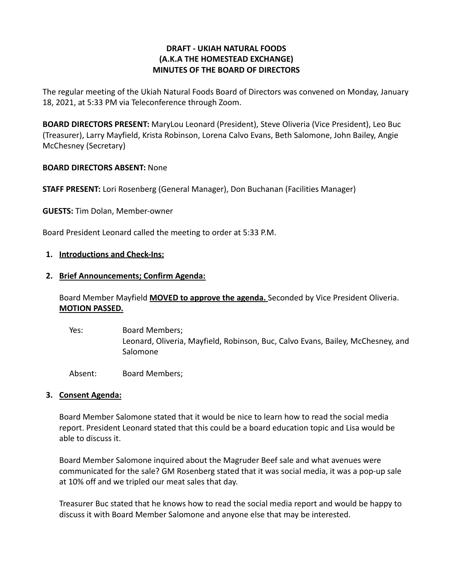### **DRAFT - UKIAH NATURAL FOODS (A.K.A THE HOMESTEAD EXCHANGE) MINUTES OF THE BOARD OF DIRECTORS**

The regular meeting of the Ukiah Natural Foods Board of Directors was convened on Monday, January 18, 2021, at 5:33 PM via Teleconference through Zoom.

**BOARD DIRECTORS PRESENT:** MaryLou Leonard (President), Steve Oliveria (Vice President), Leo Buc (Treasurer), Larry Mayfield, Krista Robinson, Lorena Calvo Evans, Beth Salomone, John Bailey, Angie McChesney (Secretary)

#### **BOARD DIRECTORS ABSENT:** None

**STAFF PRESENT:** Lori Rosenberg (General Manager), Don Buchanan (Facilities Manager)

**GUESTS:** Tim Dolan, Member-owner

Board President Leonard called the meeting to order at 5:33 P.M.

#### **1. Introductions and Check-Ins:**

#### **2. Brief Announcements; Confirm Agenda:**

Board Member Mayfield **MOVED to approve the agenda.** Seconded by Vice President Oliveria. **MOTION PASSED.**

Yes: Board Members; Leonard, Oliveria, Mayfield, Robinson, Buc, Calvo Evans, Bailey, McChesney, and Salomone

Absent: Board Members;

#### **3. Consent Agenda:**

Board Member Salomone stated that it would be nice to learn how to read the social media report. President Leonard stated that this could be a board education topic and Lisa would be able to discuss it.

Board Member Salomone inquired about the Magruder Beef sale and what avenues were communicated for the sale? GM Rosenberg stated that it was social media, it was a pop-up sale at 10% off and we tripled our meat sales that day.

Treasurer Buc stated that he knows how to read the social media report and would be happy to discuss it with Board Member Salomone and anyone else that may be interested.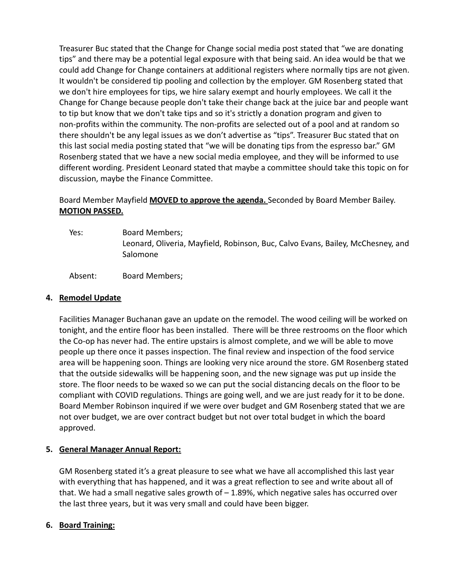Treasurer Buc stated that the Change for Change social media post stated that "we are donating tips" and there may be a potential legal exposure with that being said. An idea would be that we could add Change for Change containers at additional registers where normally tips are not given. It wouldn't be considered tip pooling and collection by the employer. GM Rosenberg stated that we don't hire employees for tips, we hire salary exempt and hourly employees. We call it the Change for Change because people don't take their change back at the juice bar and people want to tip but know that we don't take tips and so it's strictly a donation program and given to non-profits within the community. The non-profits are selected out of a pool and at random so there shouldn't be any legal issues as we don't advertise as "tips". Treasurer Buc stated that on this last social media posting stated that "we will be donating tips from the espresso bar." GM Rosenberg stated that we have a new social media employee, and they will be informed to use different wording. President Leonard stated that maybe a committee should take this topic on for discussion, maybe the Finance Committee.

# Board Member Mayfield **MOVED to approve the agenda.** Seconded by Board Member Bailey. **MOTION PASSED.**

Yes: Board Members; Leonard, Oliveria, Mayfield, Robinson, Buc, Calvo Evans, Bailey, McChesney, and Salomone

Absent: Board Members;

### **4. Remodel Update**

Facilities Manager Buchanan gave an update on the remodel. The wood ceiling will be worked on tonight, and the entire floor has been installed. There will be three restrooms on the floor which the Co-op has never had. The entire upstairs is almost complete, and we will be able to move people up there once it passes inspection. The final review and inspection of the food service area will be happening soon. Things are looking very nice around the store. GM Rosenberg stated that the outside sidewalks will be happening soon, and the new signage was put up inside the store. The floor needs to be waxed so we can put the social distancing decals on the floor to be compliant with COVID regulations. Things are going well, and we are just ready for it to be done. Board Member Robinson inquired if we were over budget and GM Rosenberg stated that we are not over budget, we are over contract budget but not over total budget in which the board approved.

# **5. General Manager Annual Report:**

GM Rosenberg stated it's a great pleasure to see what we have all accomplished this last year with everything that has happened, and it was a great reflection to see and write about all of that. We had a small negative sales growth of – 1.89%, which negative sales has occurred over the last three years, but it was very small and could have been bigger.

# **6. Board Training:**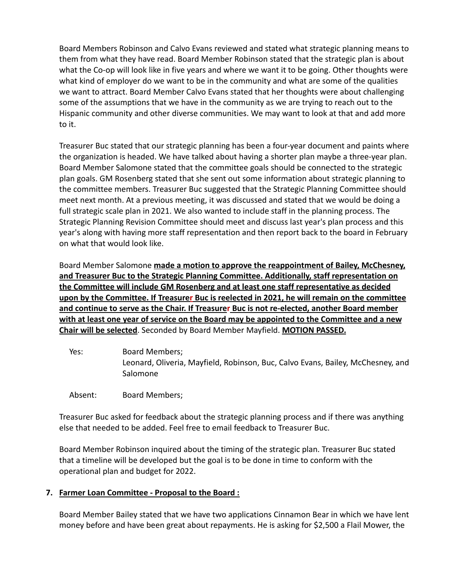Board Members Robinson and Calvo Evans reviewed and stated what strategic planning means to them from what they have read. Board Member Robinson stated that the strategic plan is about what the Co-op will look like in five years and where we want it to be going. Other thoughts were what kind of employer do we want to be in the community and what are some of the qualities we want to attract. Board Member Calvo Evans stated that her thoughts were about challenging some of the assumptions that we have in the community as we are trying to reach out to the Hispanic community and other diverse communities. We may want to look at that and add more to it.

Treasurer Buc stated that our strategic planning has been a four-year document and paints where the organization is headed. We have talked about having a shorter plan maybe a three-year plan. Board Member Salomone stated that the committee goals should be connected to the strategic plan goals. GM Rosenberg stated that she sent out some information about strategic planning to the committee members. Treasurer Buc suggested that the Strategic Planning Committee should meet next month. At a previous meeting, it was discussed and stated that we would be doing a full strategic scale plan in 2021. We also wanted to include staff in the planning process. The Strategic Planning Revision Committee should meet and discuss last year's plan process and this year's along with having more staff representation and then report back to the board in February on what that would look like.

Board Member Salomone **made a motion to approve the reappointment of Bailey, McChesney, and Treasurer Buc to the Strategic Planning Committee. Additionally, staff representation on the Committee will include GM Rosenberg and at least one staff representative as decided upon by the Committee. If Treasurer Buc is reelected in 2021, he will remain on the committee and continue to serve as the Chair. If Treasurer Buc is not re-elected, another Board member with at least one year of service on the Board may be appointed to the Committee and a new Chair will be selected**. Seconded by Board Member Mayfield. **MOTION PASSED.**

- Yes: Board Members; Leonard, Oliveria, Mayfield, Robinson, Buc, Calvo Evans, Bailey, McChesney, and Salomone
- Absent: Board Members;

Treasurer Buc asked for feedback about the strategic planning process and if there was anything else that needed to be added. Feel free to email feedback to Treasurer Buc.

Board Member Robinson inquired about the timing of the strategic plan. Treasurer Buc stated that a timeline will be developed but the goal is to be done in time to conform with the operational plan and budget for 2022.

# **7. Farmer Loan Committee - Proposal to the Board :**

Board Member Bailey stated that we have two applications Cinnamon Bear in which we have lent money before and have been great about repayments. He is asking for \$2,500 a Flail Mower, the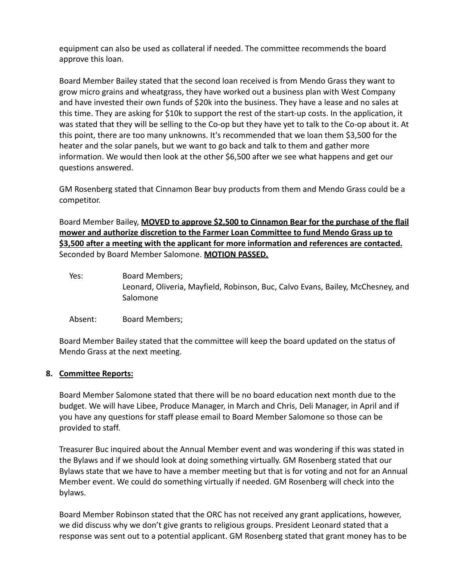equipment can also be used as collateral if needed. The committee recommends the board approve this loan.

Board Member Bailey stated that the second loan received is from Mendo Grass they want to grow micro grains and wheatgrass, they have worked out a business plan with West Company and have invested their own funds of \$20k into the business. They have a lease and no sales at this time. They are asking for \$10k to support the rest of the start-up costs. In the application, it was stated that they will be selling to the Co-op but they have yet to talk to the Co-op about it. At this point, there are too many unknowns. It's recommended that we loan them \$3,500 for the heater and the solar panels, but we want to go back and talk to them and gather more information. We would then look at the other \$6,500 after we see what happens and get our questions answered.

GM Rosenberg stated that Cinnamon Bear buy products from them and Mendo Grass could be a competitor.

Board Member Bailey, **MOVED to approve \$2,500 to Cinnamon Bear for the purchase of the flail mower and authorize discretion to the Farmer Loan Committee to fund Mendo Grass up to \$3,500 after a meeting with the applicant for more information and references are contacted.** Seconded by Board Member Salomone. **MOTION PASSED.**

- Yes: Board Members; Leonard, Oliveria, Mayfield, Robinson, Buc, Calvo Evans, Bailey, McChesney, and Salomone
- Absent: Board Members;

Board Member Bailey stated that the committee will keep the board updated on the status of Mendo Grass at the next meeting.

# **8. Committee Reports:**

Board Member Salomone stated that there will be no board education next month due to the budget. We will have Libee, Produce Manager, in March and Chris, Deli Manager, in April and if you have any questions for staff please email to Board Member Salomone so those can be provided to staff.

Treasurer Buc inquired about the Annual Member event and was wondering if this was stated in the Bylaws and if we should look at doing something virtually. GM Rosenberg stated that our Bylaws state that we have to have a member meeting but that is for voting and not for an Annual Member event. We could do something virtually if needed. GM Rosenberg will check into the bylaws.

Board Member Robinson stated that the ORC has not received any grant applications, however, we did discuss why we don't give grants to religious groups. President Leonard stated that a response was sent out to a potential applicant. GM Rosenberg stated that grant money has to be